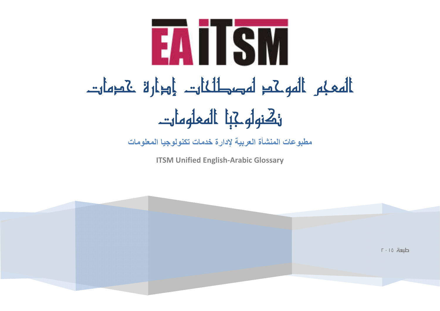

**مطبوعات المنشأة العربیة لإدارة خدمات تكنولوجیا المعلومات**

**ITSM Unified English-Arabic Glossary**

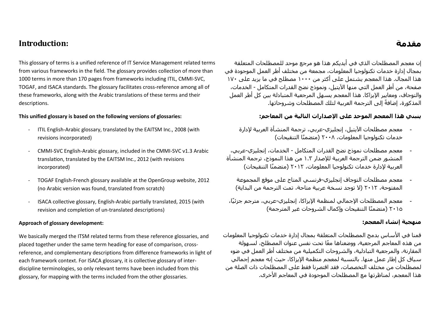## **Introduction:**

This glossary of terms is a unified reference of IT Service Management related terms from various frameworks in the field. The glossary provides collection of more than 1000 terms in more than 170 pages from frameworks including ITIL, CMMI-SVC, TOGAF, and ISACA standards. The glossary facilitates cross-reference among all of these frameworks, along with the Arabic translations of these terms and their descriptions.

#### **This unified glossary is based on the following versions of glossaries:**

- ITIL English-Arabic glossary, translated by the EAITSM Inc., 2008 (with revisions incorporated)
- CMMI-SVC English-Arabic glossary, included in the CMMI-SVC v1.3 Arabic translation, translated by the EAITSM Inc., 2012 (with revisions incorporated)
- TOGAF English-French glossary available at the OpenGroup website, 2012 (no Arabic version was found, translated from scratch)
- ISACA collective glossary, English-Arabic partially translated, 2015 (with revision and completion of un-translated descriptions)

#### **Approach of glossary development:**

We basically merged the ITSM related terms from these reference glossaries, and placed together under the same term heading for ease of comparison, crossreference, and complementary descriptions from difference frameworks in light of each framework context. For ISACA glossary, it is collective glossary of interdiscipline terminologies, so only relevant terms have been included from this glossary, for mapping with the terms included from the other glossaries.

# إن معجم المصطلحات الذي في أيديكم ھذا ھو مرجع موحد للمصطلحات المتعلقة بمجال إدارة خدمات تكنولوجیا المعلومات، مجمعة من مختلف أطر العمل الموجودة في ھذا المجال. ھذا المعجم يشتمل على أكثر من ١٠٠٠ مصطلح في ما يزيد على ١٧٠ صفحة، من أطر العمل التي منھا الآيتیل، ونموذج نضج القدرات المتكامل - الخدمات، والتوجاف، ومعايیر الإيزاكا. ھذا المعجم يسھل المرجعیة المتبادلة بین كل أطر العمل المذكورة، إضافةً إلى الترجمة العربية لتلك المصطلحات وشروحاتها.

#### **ينبني ھذا المعجم الموحد على الإصدارات التالیة من المعاجم:**

- معجم مصطلحات الآيتیل، إنجلیزي-عربي، ترجمة المنشأة العربیة لإدارة خدمات تكنولوجیا المعلومات، ٢٠٠٨ ( ً متضمنا التنقیحات)
- معجم مصطلحات نموذج نضج القدرات المتكامل الخدمات، إنجلیزي-عربي، المنشور ضمن الترجمة العربیة للإصدار ١.٣ من ھذا النموذج، ترجمة المنشأة العربیة لإدارة خدمات تكنولوجیا المعلومات، ٢٠١٢ ( ً متضمنا التنقیحات)
	- معجم مصطلحات التوجاف إنجلیزي-فرنسي المتاح على موقع المجموعة المفتوحة، ٢٠١٢ (لا توجد نسخة عربیة متاحة، تمت الترجمة من البداية)
- ًا، معجم المصطلحات الإجمالي لمنظمة الإيزاكا، إنجلیزي-عربي، مترجم جزئی ٢٠١٥ (متضمنًا التنقیحات واكمال الشروحات غیر المترجمة)

### **منھجیة إنشاء المعجم:**

قمنا في الأساس بدمج المصطلحات المتعلقة بمجال إدارة خدمات تكنولوجیا المعلومات ً من ھذه المعاجم المرجعیة، ووضعناھا معا تحت نفس عنوان المصطلح، لسھولة المقارنة، والمرجعیة التبادلیة، والشروحات التكمیلیة من مختلف أطر العمل في ضوء سیاق كل إطار عمل منھا. بالنسبة لمعجم منظمة الإيزاكا، حیث إنه معجم إجمالي لمصطلحات من مختلف التخصصات، فقد اقتصرنا فقط على المصطلحات ذات الصلة من ھذا المعجم، لمناظرتھا مع المصطلحات الموجودة في المعاجم الأخرى.

# **مقدمة**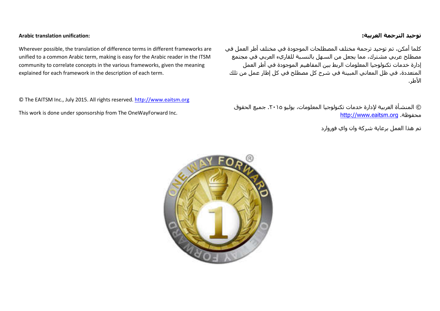#### **توحید الترجمة العربیة:**

كلما أمكن، تم توحید ترجمة مختلف المصطلحات الموجودة في مختلف أطر العمل في مصطلح عربي مشترك، مما يجعل من السھل بالنسبة للقاريء العربي في مجتمع إدارة خدمات تكنولوجیا المعلومات الربط بین المفاھیم الموجودة في أطر العمل المتعددة، في ظل المعاني المبینة في شرح كل مصطلح في كل إطار عمل من تلك الأطر.

© المنشأة العربیة لإدارة خدمات تكنولوجیا المعلومات، يولیو .٢٠١٥ جمیع الحقوق http://www.eaitsm.or[g](http://www.eaitsm.org/) .محفوظة

تم ھذا العمل برعاية شركة وان واي فوروارد



Wherever possible, the translation of difference terms in different frameworks are unified to a common Arabic term, making is easy for the Arabic reader in the ITSM community to correlate concepts in the various frameworks, given the meaning explained for each framework in the description of each term.

© The EAITSM Inc., July 2015. All rights reserved. [http://www.eaitsm.org](http://www.eaitsm.org/)

This work is done under sponsorship from The OneWayForward Inc.

**Arabic translation unification:**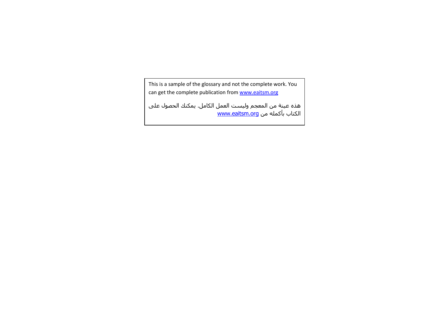This is a sample of the glossary and not the complete work. You can get the complete publication from www.eaitsm.org

ھذه عینة من المعجم ولیست العمل الكامل. يمكنك الحصول على الكتاب بأكمله من www.eaitsm.org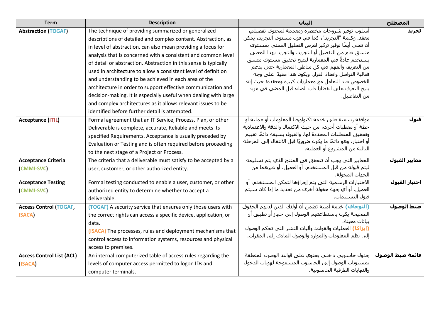| <b>Term</b>                                      | <b>Description</b>                                                                                                                                                                                                                                                                                                                                                                           | السان                                                                                                                                                                                                                                                                                                                                                                                      | المصطلح          |
|--------------------------------------------------|----------------------------------------------------------------------------------------------------------------------------------------------------------------------------------------------------------------------------------------------------------------------------------------------------------------------------------------------------------------------------------------------|--------------------------------------------------------------------------------------------------------------------------------------------------------------------------------------------------------------------------------------------------------------------------------------------------------------------------------------------------------------------------------------------|------------------|
| <b>Abstraction (TOGAF)</b>                       | The technique of providing summarized or generalized<br>descriptions of detailed and complex content. Abstraction, as<br>in level of abstraction, can also mean providing a focus for<br>analysis that is concerned with a consistent and common level<br>of detail or abstraction. Abstraction in this sense is typically<br>used in architecture to allow a consistent level of definition | أسلوب توفير شروحات مختصرة ومعممة لمحتوك تفصيلي<br>معقد. وكلمة "التجريد"، كما في قول مستوى التجريد، يمكن<br>أن تعني أيضًا توفير تركيز لغرض التحليل المعني بمسـتوك<br>متسق عام من التفصيل أو التجريد. والتجريد بهذا المعنى<br>يستخدم عادةً في المعمارية ليتيح تحقيق مستوك متسق<br>من التعريف والفهم في كل مناطق المعمارية حتى يدعم<br>فعالية التواصل واتخاذ القرار. ويكون هذا مفيدًا على وجه | تجريد            |
|                                                  | and understanding to be achieved in each area of the<br>architecture in order to support effective communication and<br>decision-making. It is especially useful when dealing with large<br>and complex architectures as it allows relevant issues to be<br>identified before further detail is attempted.                                                                                   | الخصوص عند التعامل مع معماريات كبيرة ومعقدة؛ حيث إنه<br>يتيح التعرف على القضايا ذات الصلة قبل المضي في مزيد<br>من التفاصيل.                                                                                                                                                                                                                                                                |                  |
| <b>Acceptance (ITIL)</b>                         | Formal agreement that an IT Service, Process, Plan, or other<br>Deliverable is complete, accurate, Reliable and meets its<br>specified Requirements. Acceptance is usually preceded by<br>Evaluation or Testing and is often required before proceeding<br>to the next stage of a Project or Process.                                                                                        | موافقة رسمية على خدمة تكنولوجيا المعلومات أو عملية أو<br>خطة أو معطيات أخرى، من حيث الاكتمال والدقة والاعتمادية<br>وتحقيق المتطلبات المحددة لها. والقبول يسبقه دائمًا تقييم<br>أو اختبار، وهو دائمًا ما يكون ضروريًا قبل الانتقال إلى المرحلة<br>التالية من المشروع أو العملية.                                                                                                            | قبول             |
| <b>Acceptance Criteria</b><br><b>CMMI-SVC</b>    | The criteria that a deliverable must satisfy to be accepted by a<br>user, customer, or other authorized entity.                                                                                                                                                                                                                                                                              | المعايير التي يجب أن تتحقق في المنتج الذي يتم تسليمه<br>ليتم قبوله من قبل المستخدم، أو العميل، أو غيرهما من<br>الجهات المخولة.                                                                                                                                                                                                                                                             | معايير القبول    |
| <b>Acceptance Testing</b><br><b>CMMI-SVC</b>     | Formal testing conducted to enable a user, customer, or other<br>authorized entity to determine whether to accept a<br>deliverable.                                                                                                                                                                                                                                                          | الاختبارات الرسمية التي يتم إجراؤها لتمكن المستخدم، أو<br>العميل، أو أي جهة مخولة أخرى من تحديد ما إذا كان سـيتم<br>قبول التسليمات.                                                                                                                                                                                                                                                        | اختبار القبول    |
| <b>Access Control (TOGAF,</b><br><b>ISACA</b>    | (TOGAF) A security service that ensures only those users with<br>the correct rights can access a specific device, application, or<br>data.<br>(ISACA) The processes, rules and deployment mechanisms that<br>control access to information systems, resources and physical<br>access to premises.                                                                                            | (التوجاف) خدمة أمنية تضمن أن أولئك الذين لديهم الحقوق<br>الصحيحة يكون باستطاعتهم الوصول إلى جهاز أو تطبيق أو<br>بيانات معينة.<br>(إيزاكا) العمليات والقواعد وآليات النشر التي تحكم الوصول<br>إلى نظم المعلومات والموارد والوصول المادي إلى المقرات.                                                                                                                                        | صبط الوصول       |
| <b>Access Control List (ACL)</b><br><b>ISACA</b> | An internal computerized table of access rules regarding the<br>levels of computer access permitted to logon IDs and<br>computer terminals.                                                                                                                                                                                                                                                  | جدول حاسوبي داخلي يحتوي على قواعد الوصول المتعلقة<br>بمستويات الوصول إلى الحاسوب المسموحة لهويات الدخول<br>والنهايات الطرفية الحاسوبية.                                                                                                                                                                                                                                                    | قائمة صبط الوصول |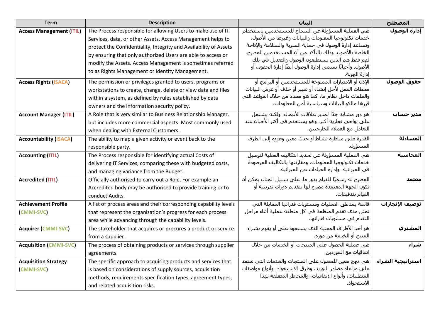| <b>Term</b>                     | <b>Description</b>                                                | السان                                                                                                         | المصطلح           |
|---------------------------------|-------------------------------------------------------------------|---------------------------------------------------------------------------------------------------------------|-------------------|
| <b>Access Management (ITIL)</b> | The Process responsible for allowing Users to make use of IT      | هي العملية المسؤولة عن السماح للمستخدمين باستخدام                                                             | إدارة الوصول      |
|                                 | Services, data, or other Assets. Access Management helps to       | خدمات تكنولوجيا المعلومات والبيانات وغيرها من الأصول.                                                         |                   |
|                                 | protect the Confidentiality, Integrity and Availability of Assets | وتساعد إدارة الوصول في حماية السرية والسلامة والإتاحة                                                         |                   |
|                                 | by ensuring that only authorized Users are able to access or      | الخاصة بالأصول، وذلك بالتأكد من أن المستخدمين المصرح                                                          |                   |
|                                 | modify the Assets. Access Management is sometimes referred        | لهم فقط هم الذين يستطيعون الوصول والتعديل في تلك<br>الأصول. وأحيانًا تسـمي إدارة الوصول أيضًا إدارة الحقوق أو |                   |
|                                 | to as Rights Management or Identity Management.                   | إدارة الهوية.                                                                                                 |                   |
| <b>Access Rights (ISACA)</b>    | The permission or privileges granted to users, programs or        | الإذن أو الامتيازات الممنوحة للمستخدمين أو البرامج أو                                                         | حقوق الوصول       |
|                                 | workstations to create, change, delete or view data and files     | محطات العمل لأجل إنشاء أو تغيير أو حذف أو عرض البيانات                                                        |                   |
|                                 | within a system, as defined by rules established by data          | والملفات داخل نظام ما، كما هو محدد من خلال القواعد التي                                                       |                   |
|                                 | owners and the information security policy.                       | قررها مالكو البيانات وسياسية أمن المعلومات.                                                                   |                   |
| <b>Account Manager (ITIL)</b>   | A Role that is very similar to Business Relationship Manager,     | هو دور مشابه جدًا لمدير علاقات الأعمال، ولكنه يشتمل                                                           | مدیر حساب         |
|                                 | but includes more commercial aspects. Most commonly used          | على نواحي تجارية أكثر. وهو يستخدم في أكثر الأحيان عند                                                         |                   |
|                                 | when dealing with External Customers.                             | التعامل مع العملاء الخارجيين.                                                                                 |                   |
| <b>Accountability (ISACA)</b>   | The ability to map a given activity or event back to the          | القدرة على مناظرة نشاط أو حدث معين وعزوه إلى الطرف                                                            | المساءلة          |
|                                 | responsible party.                                                | المسؤول.                                                                                                      |                   |
| <b>Accounting (ITIL)</b>        | The Process responsible for identifying actual Costs of           | هي العملية المسؤولة عن تحديد التكاليف الفعلية لتوصيل                                                          | المحاسبة          |
|                                 | delivering IT Services, comparing these with budgeted costs,      | خدمات تكنولوجيا المعلومات، ومقارنتها بالتكاليف المرصودة                                                       |                   |
|                                 | and managing variance from the Budget.                            | في الميزانية، وإدارة الحيادات عن الميزانية.                                                                   |                   |
| <b>Accredited (ITIL)</b>        | Officially authorised to carry out a Role. For example an         | المصرح له رسميًا للقيام بدور ما. على سبيل المثال يمكن أن                                                      | معتمد             |
|                                 | Accredited body may be authorised to provide training or to       | تكون الجهة المعتمدة مصرح لها بتقديم دورات تدريبية أو                                                          |                   |
|                                 | conduct Audits.                                                   | القيام بتدقيقات.                                                                                              |                   |
| <b>Achievement Profile</b>      | A list of process areas and their corresponding capability levels | قائمة بمناطق العمليات ومستويات قدراتها المقابلة التي                                                          | توصيف الإنجازات   |
| <b>CMMI-SVC</b>                 | that represent the organization's progress for each process       | تمثل مدك تقدم المنظمة في كل منطقة عملية أثناء مراحل                                                           |                   |
|                                 | area while advancing through the capability levels.               | التقدم في مستويات قدراتها.                                                                                    |                   |
| <b>Acquirer (CMMI-SVC)</b>      | The stakeholder that acquires or procures a product or service    | هو أحد الأطراف المعنية الذي يستحوذ على أو يقوم بشراء                                                          | المشتري           |
|                                 | from a supplier.                                                  | المنتج أو الخدمة من مورد.                                                                                     |                   |
| <b>Acquisition (CMMI-SVC)</b>   | The process of obtaining products or services through supplier    | هي عملية الحصول على المنتجات أو الخدمات من خلال                                                               | شراء              |
|                                 | agreements.                                                       | اتفاقيات مع الموردين.                                                                                         |                   |
| <b>Acquisition Strategy</b>     | The specific approach to acquiring products and services that     | هي نهج معين للحصول على المنتجات والخدمات التبي تعتمد                                                          | استراتيجية الشراء |
| <b>CMMI-SVC</b>                 | is based on considerations of supply sources, acquisition         | على مراعاة مصادر التوريد، وطرق الاستحواذ، وأنواع مواصفات                                                      |                   |
|                                 | methods, requirements specification types, agreement types,       | المتطلبات، وأنواع الاتفاقيات، والمخاطر المتعلقة بهذا                                                          |                   |
|                                 | and related acquisition risks.                                    | الاستحواذ.                                                                                                    |                   |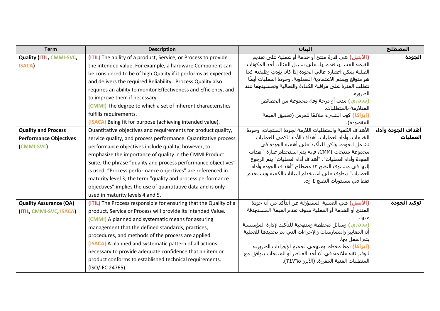| <b>Term</b>                     | <b>Description</b>                                                | الىيان                                                                                                                      | المصطلح            |
|---------------------------------|-------------------------------------------------------------------|-----------------------------------------------------------------------------------------------------------------------------|--------------------|
| <b>Quality (ITIL, CMMI-SVC,</b> | (ITIL) The ability of a product, Service, or Process to provide   | (الآيتيل) هي قدرة منتج أو خدمة أو عملية على تقديم                                                                           | الجودة             |
| <b>ISACA</b>                    | the intended value. For example, a hardware Component can         | القيمة المستهدفة منها. على سبيل المثال، أحد المكونات                                                                        |                    |
|                                 | be considered to be of high Quality if it performs as expected    | الصلبة يمكن اعتباره عالي الجودة إذا كان يؤدي وظيفته كما                                                                     |                    |
|                                 | and delivers the required Reliability. Process Quality also       | هو متوقع ويقدم الاعتمادية المطلوبة. وجودة العمليات أيضًا                                                                    |                    |
|                                 | requires an ability to monitor Effectiveness and Efficiency, and  | تتطلب القدرة على مراقبة الكفاءة والفعالية وتحسينهما عند                                                                     |                    |
|                                 | to improve them if necessary.                                     | الضرورة.                                                                                                                    |                    |
|                                 | (CMMI) The degree to which a set of inherent characteristics      | (ت.ن.م.) مدى أو درجة وفاء مجموعة من الخصائص<br>المتلازمة بالمتطلبات.                                                        |                    |
|                                 | fulfills requirements.                                            | (إيزا <mark>كا)</mark> كون الشيء ملائمًا للغرض (تحقيق القيمة                                                                |                    |
|                                 | (ISACA) Being fit for purpose (achieving intended value).         | المقصودة).                                                                                                                  |                    |
| <b>Quality and Process</b>      | Quantitative objectives and requirements for product quality,     | الأهداف الكمية والمتطلبات اللازمة لجودة المنتجات، وجودة                                                                     | أهداف الجودة وأداء |
| <b>Performance Objectives</b>   | service quality, and process performance. Quantitative process    | الخدمات، وأداء العمليات. أهداف الأداء الكمي للعمليات                                                                        | العمليات           |
| <b>CMMI-SVC</b>                 | performance objectives include quality; however, to               | تشمل الجودة، ولكن للتأكيد على أهمية الجودة في                                                                               |                    |
|                                 | emphasize the importance of quality in the CMMI Product           | مجموعة منتجات CMMI، فإنه يتم استخدام عبارة "أهداف                                                                           |                    |
|                                 | Suite, the phrase "quality and process performance objectives"    | الجودة وأداء العمليات". "أهداف أداء العمليات" يتم الرجوع                                                                    |                    |
|                                 | is used. "Process performance objectives" are referenced in       | إليها في مستوى النضج ٣؛ مصطلح "أهداف الجودة وأداء<br>العمليات" ينطوي على استخدام البيانات الكمية ويستخدم                    |                    |
|                                 | maturity level 3; the term "quality and process performance       | فقط في مستويات النضج ٤ و٥.                                                                                                  |                    |
|                                 | objectives" implies the use of quantitative data and is only      |                                                                                                                             |                    |
|                                 | used in maturity levels 4 and 5.                                  |                                                                                                                             |                    |
| <b>Quality Assurance (QA)</b>   | (ITIL) The Process responsible for ensuring that the Quality of a | (الآيتيل) هي العملية المسؤولة عن التأكد من أن جودة                                                                          | توكيد الجودة       |
| <b>(ITIL, CMMI-SVC, ISACA)</b>  | product, Service or Process will provide its intended Value.      | المنتج أو الخدمة أو العملية سوف تقدم القيمة المستهدفة                                                                       |                    |
|                                 | (CMMI) A planned and systematic means for assuring                | منها.                                                                                                                       |                    |
|                                 | management that the defined standards, practices,                 | (ت.ت.م.) وسائل مخططة ومنهجية للتأكيد لإدارة المؤسسة                                                                         |                    |
|                                 | procedures, and methods of the process are applied.               | أن المعايير والممارسات والإجراءات التي تم تحديدها للعملية                                                                   |                    |
|                                 | (ISACA) A planned and systematic pattern of all actions           | يتم العمل بها.                                                                                                              |                    |
|                                 | necessary to provide adequate confidence that an item or          | <mark>(إيزاكا)</mark> نمط مخطط ومنهجي لجميع الإجراءات الضرورية<br>لتوفير ثقة ملائمة في أن أحد العناصر أو المنتجات يتوافق مع |                    |
|                                 | product conforms to established technical requirements.           | المتطلبات الفنية المقررة. (الأيزو ٢٤٧٦٥).                                                                                   |                    |
|                                 | (ISO/IEC 24765).                                                  |                                                                                                                             |                    |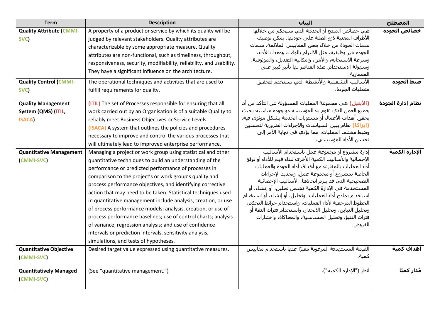| <b>Term</b>                                                              | <b>Description</b>                                                                                                                                                                                                                                                                                                                                                                                                                                                                                                                                                                                                                                                                                                                            | السان                                                                                                                                                                                                                                                                                                                                                                                                                                                                                                                                                                                      | المصطلح                    |
|--------------------------------------------------------------------------|-----------------------------------------------------------------------------------------------------------------------------------------------------------------------------------------------------------------------------------------------------------------------------------------------------------------------------------------------------------------------------------------------------------------------------------------------------------------------------------------------------------------------------------------------------------------------------------------------------------------------------------------------------------------------------------------------------------------------------------------------|--------------------------------------------------------------------------------------------------------------------------------------------------------------------------------------------------------------------------------------------------------------------------------------------------------------------------------------------------------------------------------------------------------------------------------------------------------------------------------------------------------------------------------------------------------------------------------------------|----------------------------|
| <b>Quality Attribute (CMMI-</b><br>SVC)<br><b>Quality Control (CMMI-</b> | A property of a product or service by which its quality will be<br>judged by relevant stakeholders. Quality attributes are<br>characterizable by some appropriate measure. Quality<br>attributes are non-functional, such as timeliness, throughput,<br>responsiveness, security, modifiability, reliability, and usability.<br>They have a significant influence on the architecture.<br>The operational techniques and activities that are used to                                                                                                                                                                                                                                                                                          | هي خصائص المنتج أو الخدمة التي سيحكم من خلالها<br>الأطراف المعنية ذوو الصلة علىي جودتها. يمكن توصيف<br>سـمات الجودة من خلال بعض المقاييس الملائمة. سـمات<br>الجودة غير وظيفية، مثل الالتزام بالوقت، ومعدل الأداء،<br>وسرعة الاستجابة، والأمن، وإمكانية التعديل، والموثوقية،<br>وسـهولة الاسـتخدام. هذه العناصر لـها تأثير كبير على<br>المعمارية.<br>الأساليب التشغيلية والأنشطة التي تستخدم لتحقيق                                                                                                                                                                                         | خصائص الجودة<br>صبط الجودة |
| SVC)                                                                     | fulfill requirements for quality.                                                                                                                                                                                                                                                                                                                                                                                                                                                                                                                                                                                                                                                                                                             | متطلبات الجودة.                                                                                                                                                                                                                                                                                                                                                                                                                                                                                                                                                                            |                            |
| <b>Quality Management</b><br>System (QMS) (ITIL,<br><b>ISACA</b>         | (ITIL) The set of Processes responsible for ensuring that all<br>work carried out by an Organisation is of a suitable Quality to<br>reliably meet Business Objectives or Service Levels.<br>(ISACA) A system that outlines the policies and procedures<br>necessary to improve and control the various processes that<br>will ultimately lead to improved enterprise performance.                                                                                                                                                                                                                                                                                                                                                             | <b>(الآيتيل)</b> هي مجموعة العمليات المسؤولة عن التأكد من أن<br>جميع العمل الذي تقوم به المؤسسة ذو جودة مناسبة بحيث<br>يحقق أهداف الأعمال أو مستويات الخدمة بشكل موثوق فيه.<br>(إيزاكا) نظام يبين السياسات والإجراءات الضرورية لتحسين<br>وضبط مختلف العمليات، مما يؤدي في نهاية الأمر إلى<br>تحسـن الأداء المؤسسـي.                                                                                                                                                                                                                                                                        | نظام إدارة الجودة          |
| <b>Quantitative Management</b><br><b>CMMI-SVC</b>                        | Managing a project or work group using statistical and other<br>quantitative techniques to build an understanding of the<br>performance or predicted performance of processes in<br>comparison to the project's or work group's quality and<br>process performance objectives, and identifying corrective<br>action that may need to be taken. Statistical techniques used<br>in quantitative management include analysis, creation, or use<br>of process performance models; analysis, creation, or use of<br>process performance baselines; use of control charts; analysis<br>of variance, regression analysis; and use of confidence<br>intervals or prediction intervals, sensitivity analysis,<br>simulations, and tests of hypotheses. | إدارة مشروع أو مجموعة عمل باستخدام الأساليب<br>الإحصائية والأساليب الكمية الأخرى لبناء فهم للأداء أو توقع<br>أداء العمليات بالمقارنة مع أهداف أداء الجودة والعمليات<br>الخاصة بمشروع أو مجموعة عمل، وتحديد الإجراءات<br>التصحيحية التي قد يلزم اتخاذها. الأساليب الإحصائية<br>المستخدمة في الإدارة الكمية تشمل تحليل، أو إنشاء، أو<br>اسـتخدام نماذج أداء العمليات، وتحليل، أو إنشـاء، أو اسـتخدام<br>الخطوط المرجعية لأداء العمليات، واستخدام خرائط التحكم،<br>وتحليل التباين، وتحليل الانحدار، واستخدام فترات الثقة أو<br>فترات التنبؤ، وتحليل الحساسية، والمحاكاة، واختبارات<br>الفروض. | الإدارة الكمية             |
| <b>Quantitative Objective</b><br><b>CMMI-SVC</b>                         | Desired target value expressed using quantitative measures.                                                                                                                                                                                                                                                                                                                                                                                                                                                                                                                                                                                                                                                                                   | القيمة المستهدفة المرغوبة معبرًا عنها باستخدام مقاييس<br>كمية.                                                                                                                                                                                                                                                                                                                                                                                                                                                                                                                             | أهداف كمىة                 |
| <b>Quantitatively Managed</b><br><b>CMMI-SVC</b>                         | (See "quantitative management.")                                                                                                                                                                                                                                                                                                                                                                                                                                                                                                                                                                                                                                                                                                              | انظر ("الإدارة الكمية").                                                                                                                                                                                                                                                                                                                                                                                                                                                                                                                                                                   | مُدار كميًا                |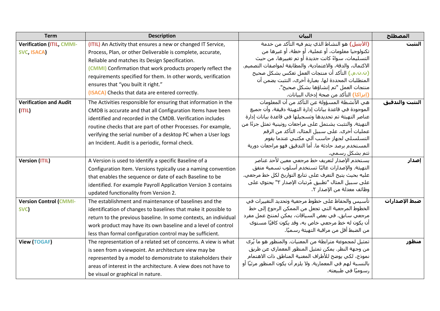| <b>Term</b>                      | <b>Description</b>                                               | السان                                                                                                     | المصطلح         |
|----------------------------------|------------------------------------------------------------------|-----------------------------------------------------------------------------------------------------------|-----------------|
| <b>Verification (ITIL, CMMI-</b> | (ITIL) An Activity that ensures a new or changed IT Service,     | <b>(الآيتيل)</b> هو النشاط الذي يتم فيه التأكد من خدمة                                                    | التثبت          |
| SVC, ISACA)                      | Process, Plan, or other Deliverable is complete, accurate,       | تكنولوجيا معلومات، أو عملية، أو خطة، أو غيرها من                                                          |                 |
|                                  | Reliable and matches its Design Specification.                   | التسليمات، سواءً كانت جديدة أو تم تغييرها، من حيث                                                         |                 |
|                                  | (CMMI) Confirmation that work products properly reflect the      | الاكتمال، والدقة، والاعتمادية، والمطابقة لمواصفات التصميم.                                                |                 |
|                                  | requirements specified for them. In other words, verification    | (ن.ن.م.) التأكد أن منتجات العمل تعكس بشكل صحيح                                                            |                 |
|                                  | ensures that "you built it right."                               | المتطلبات المحددة لها. بعبارة أخرى، التثبت يضمن أن                                                        |                 |
|                                  | (ISACA) Checks that data are entered correctly.                  | منتجات العمل "تم إنشاؤها بشكل صحيح".                                                                      |                 |
|                                  |                                                                  | (إيزا <mark>كا)</mark> التأكد من صحة إدخال البيانات.                                                      |                 |
| <b>Verification and Audit</b>    | The Activities responsible for ensuring that information in the  | هي الأنشطة المسؤولة عن التأكد من أن المعلومات                                                             | التثبت والتدقيق |
| (ITIL)                           | CMDB is accurate and that all Configuration Items have been      | الموجودة في قاعدة بيانات إدارة التهيئة دقيقة، وأن جميع                                                    |                 |
|                                  | identified and recorded in the CMDB. Verification includes       | عناصر التهيئة تم تحديدها وتسجيلها في قاعدة بيانات إدارة                                                   |                 |
|                                  | routine checks that are part of other Processes. For example,    | التهيئة. والتثبت يشتمل على مراجعات روتينية تمثل جزءًا من<br>عمليات أخرى. على سبيل المثال، التأكد من الرقم |                 |
|                                  | verifying the serial number of a desktop PC when a User logs     | التسلسلي لجهاز حاسب آلي مكتبي عندما يقوم                                                                  |                 |
|                                  | an Incident. Audit is a periodic, formal check.                  | المستخدم برصد حادثة ما. أما التدقيق فهو مراجعات دورية                                                     |                 |
|                                  |                                                                  | تتم بشكل رسمي.                                                                                            |                 |
| <b>Version (ITIL)</b>            | A Version is used to identify a specific Baseline of a           | يستخدم الإصدار لتعريف خط مرجعي معين لأحد عناصر                                                            | إصدار           |
|                                  | Configuration Item. Versions typically use a naming convention   | التهيئة. والإصدارات غالبًا تستخدم أسلوب تسمية متفق                                                        |                 |
|                                  | that enables the sequence or date of each Baseline to be         | عليه بحيث يتيح التعرف على تتابع التواريخ لكل خط مرجعي.                                                    |                 |
|                                  | identified. For example Payroll Application Version 3 contains   | على سبيل المثال "تطبيق مُرتبات الإصدار ٣" يحتوي على                                                       |                 |
|                                  | updated functionality from Version 2.                            | وظائف معدلة من الإصدار ٢.                                                                                 |                 |
| <b>Version Control (CMMI-</b>    | The establishment and maintenance of baselines and the           | تأسيس والحفاظ على خطوط مرجعية وتحديد التغييرات في                                                         | صبط الإصدارات   |
|                                  |                                                                  | الخطوط المرجعية التي تجعل من الممكن الرجوع إلى خط                                                         |                 |
| SVC)                             | identification of changes to baselines that make it possible to  | مرجعي سـابق. في بعض السـياقات، يمكن لمنتج عمل مفرد                                                        |                 |
|                                  | return to the previous baseline. In some contexts, an individual | أن يكون له خط مرجعي خاص به، وقد يكون كافيًا مسـتوف                                                        |                 |
|                                  | work product may have its own baseline and a level of control    | من الضبط أقل من مراقبة التهيئة رسـميًا.                                                                   |                 |
|                                  | less than formal configuration control may be sufficient.        |                                                                                                           |                 |
| <b>View (TOGAF)</b>              | The representation of a related set of concerns. A view is what  | تمثيل لمجموعة مترابطة من المعنيات. والمنظور هو ما يُرِي                                                   | منظور           |
|                                  | is seen from a viewpoint. An architecture view may be            | من وجهة النظر. يمكن تمثيل المنظور المعماري عن طريق                                                        |                 |
|                                  | represented by a model to demonstrate to stakeholders their      | نموذج، لكي يوضح للأطراف المعنية المناطق ذات الاهتمام                                                      |                 |
|                                  | areas of interest in the architecture. A view does not have to   | بالنسبة لهم في المعمارية. ولا يلزم أن يكون المنظور مرئيًا أو                                              |                 |
|                                  | be visual or graphical in nature.                                | رسوميًا في طبيعته.                                                                                        |                 |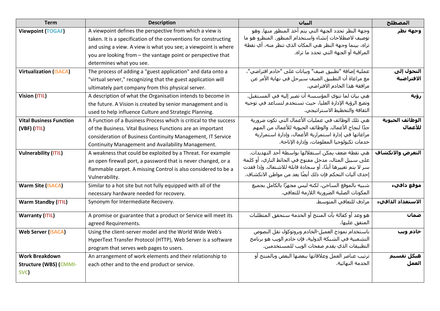| <b>Term</b>                    | <b>Description</b>                                                | البيان                                                         | المصطلح           |
|--------------------------------|-------------------------------------------------------------------|----------------------------------------------------------------|-------------------|
| <b>Viewpoint (TOGAF)</b>       | A viewpoint defines the perspective from which a view is          | وجهة النظر تحدد الجهة التي يتم أخذ المنظور منها. وهو           | وجهة نظر          |
|                                | taken. It is a specification of the conventions for constructing  | توصيف لاصطلاحات إنشاء واستخدام المنظور. المنظرو هو ما          |                   |
|                                | and using a view. A view is what you see; a viewpoint is where    | تراه، بينما وجهة النظر هي المكان الذي تنظر منه، أي نقطة        |                   |
|                                | you are looking from - the vantage point or perspective that      | المراقبة أو الجهة التي تحدد ما تراه.                           |                   |
|                                | determines what you see.                                          |                                                                |                   |
| <b>Virtualization (ISACA)</b>  | The process of adding a "guest application" and data onto a       | عملية إضافة "تطبيق ضيف" وبيانات على "خادم افتراضي"،            | التحول إلى        |
|                                | "virtual server," recognizing that the guest application will     | مع مراعاة أن التطبيق الضيف سـيرحل في نهاية الأمر عن            | الافتراضية        |
|                                | ultimately part company from this physical server.                | مرافقة هذا الخادم الافتراضي.                                   |                   |
| <b>Vision (ITIL)</b>           | A description of what the Organisation intends to become in       | هي بيان لما تنوي المؤسسة أن تصير إليه في المستقبل.             | رؤية              |
|                                | the future. A Vision is created by senior management and is       | وتضع الرؤية الإدارة العليا، حيث تستخدم لتساعد في توجيه         |                   |
|                                | used to help influence Culture and Strategic Planning.            | الثقافة والتخطيط الاستراتيجي.                                  |                   |
| <b>Vital Business Function</b> | A Function of a Business Process which is critical to the success | هي تلك الوظائف في عمليات الأعمال التي تكون ضرورية              | الوظائف الحيوية   |
| $(VBF)$ $(ITIL)$               | of the Business. Vital Business Functions are an important        | جدًا لنجاح الأعمال. والوظائف الحيوية للأعمال من المهم          | للأعمال           |
|                                | consideration of Business Continuity Management, IT Service       | مراعاتها في إدارة استمرارية الأعمال، وإدارة استمرارية          |                   |
|                                | Continuity Management and Availability Management.                | خدمات تكنولوجيا المعلومات، وإدارة الإتاحة.                     |                   |
| <b>Vulnerability (ITIL)</b>    | A weakness that could be exploited by a Threat. For example       | هي نقطة ضعف يمكن استغلالها بواسطة أحد التهديدات.               | التعرض والانكشاف  |
|                                | an open firewall port, a password that is never changed, or a     | على سبيل المثال، مدخل مفتوح في الحائط الناري، أو كلمة          |                   |
|                                | flammable carpet. A missing Control is also considered to be a    | سـر لا يتم تغييرها أبدًا، أو سـجادة قابلة للاشـتعال. وإذا فقدت |                   |
|                                | Vulnerability.                                                    | إحدى آليات التحكم فإن ذلك أيضًا يعد من مواطن الانكشـاف.        |                   |
| <b>Warm Site (ISACA)</b>       | Similar to a hot site but not fully equipped with all of the      | شبيه بالموقع الساخن، لكنه ليس مجهزًا بالكامل بجميع             | موقع دافيء        |
|                                | necessary hardware needed for recovery.                           | المكونات الصلبة الضرورية اللازمة للتعافي.                      |                   |
| <b>Warm Standby (ITIL)</b>     | Synonym for Intermediate Recovery.                                | مرادف للتعافي المتوسط.                                         | الاستعداد الدافيء |
| <b>Warranty (ITIL)</b>         | A promise or guarantee that a product or Service will meet its    | هو وعد أو كفالة بأن المنتج أو الخدمة سـتحقق المتطلبات          | ضمان              |
|                                | agreed Requirements.                                              | المتفق عليها.                                                  |                   |
| <b>Web Server (ISACA)</b>      | Using the client-server model and the World Wide Web's            | باستخدام نموذج العميل-الخادم وبروتوكول نقل النصوص              | خادم ویب          |
|                                | HyperText Transfer Protocol (HTTP), Web Server is a software      | التشعبية في الشبكة الدولية، فإن خادم الويب هو برنامج           |                   |
|                                | program that serves web pages to users.                           | التطبيقات الذي يقدم صفحات الويب للمستخدمين.                    |                   |
| <b>Work Breakdown</b>          | An arrangement of work elements and their relationship to         | ترتيب عناصر العمل وعلاقاتها ببعضها البعض وبالمنتج أو           | هيكل تقسيم        |
| <b>Structure (WBS) (CMMI-</b>  | each other and to the end product or service.                     | الخدمة النهائية.                                               | العمل             |
| SVC)                           |                                                                   |                                                                |                   |
|                                |                                                                   |                                                                |                   |